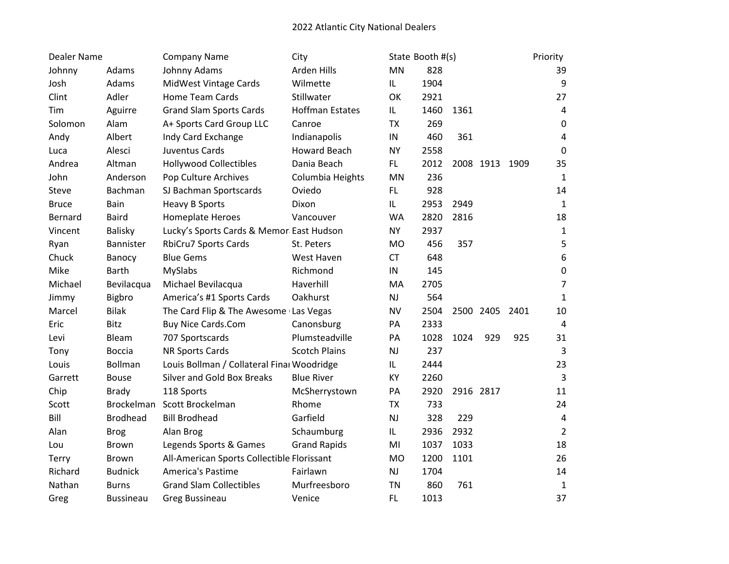| <b>Dealer Name</b> |                  | <b>Company Name</b>                        | City                   |            | State Booth #(s) |      |                |      | Priority       |
|--------------------|------------------|--------------------------------------------|------------------------|------------|------------------|------|----------------|------|----------------|
| Johnny             | Adams            | Johnny Adams                               | Arden Hills            | <b>MN</b>  | 828              |      |                |      | 39             |
| Josh               | Adams            | MidWest Vintage Cards                      | Wilmette               | IL         | 1904             |      |                |      | 9              |
| Clint              | Adler            | Home Team Cards                            | Stillwater             | OK         | 2921             |      |                |      | 27             |
| Tim                | Aguirre          | <b>Grand Slam Sports Cards</b>             | <b>Hoffman Estates</b> | IL         | 1460             | 1361 |                |      | 4              |
| Solomon            | Alam             | A+ Sports Card Group LLC                   | Canroe                 | <b>TX</b>  | 269              |      |                |      | 0              |
| Andy               | Albert           | Indy Card Exchange                         | Indianapolis           | ${\sf IN}$ | 460              | 361  |                |      | 4              |
| Luca               | Alesci           | Juventus Cards                             | <b>Howard Beach</b>    | <b>NY</b>  | 2558             |      |                |      | 0              |
| Andrea             | Altman           | <b>Hollywood Collectibles</b>              | Dania Beach            | FL.        | 2012             |      | 2008 1913      | 1909 | 35             |
| John               | Anderson         | Pop Culture Archives                       | Columbia Heights       | MN         | 236              |      |                |      | $\mathbf{1}$   |
| Steve              | Bachman          | SJ Bachman Sportscards                     | Oviedo                 | FL         | 928              |      |                |      | 14             |
| <b>Bruce</b>       | Bain             | <b>Heavy B Sports</b>                      | Dixon                  | IL         | 2953             | 2949 |                |      | $\mathbf 1$    |
| Bernard            | <b>Baird</b>     | <b>Homeplate Heroes</b>                    | Vancouver              | <b>WA</b>  | 2820             | 2816 |                |      | 18             |
| Vincent            | Balisky          | Lucky's Sports Cards & Memor East Hudson   |                        | <b>NY</b>  | 2937             |      |                |      | $\mathbf 1$    |
| Ryan               | Bannister        | <b>RbiCru7 Sports Cards</b>                | St. Peters             | <b>MO</b>  | 456              | 357  |                |      | 5              |
| Chuck              | Banocy           | <b>Blue Gems</b>                           | West Haven             | <b>CT</b>  | 648              |      |                |      | 6              |
| Mike               | <b>Barth</b>     | MySlabs                                    | Richmond               | IN         | 145              |      |                |      | $\mathbf 0$    |
| Michael            | Bevilacqua       | Michael Bevilacqua                         | Haverhill              | MA         | 2705             |      |                |      | $\overline{7}$ |
| Jimmy              | Bigbro           | America's #1 Sports Cards                  | Oakhurst               | NJ         | 564              |      |                |      | $\mathbf{1}$   |
| Marcel             | <b>Bilak</b>     | The Card Flip & The Awesome (Las Vegas     |                        | <b>NV</b>  | 2504             |      | 2500 2405 2401 |      | 10             |
| Eric               | Bitz             | <b>Buy Nice Cards.Com</b>                  | Canonsburg             | PA         | 2333             |      |                |      | 4              |
| Levi               | Bleam            | 707 Sportscards                            | Plumsteadville         | PA         | 1028             | 1024 | 929            | 925  | 31             |
| Tony               | <b>Boccia</b>    | NR Sports Cards                            | <b>Scotch Plains</b>   | NJ         | 237              |      |                |      | 3              |
| Louis              | Bollman          | Louis Bollman / Collateral Finar Woodridge |                        | IL         | 2444             |      |                |      | 23             |
| Garrett            | <b>Bouse</b>     | <b>Silver and Gold Box Breaks</b>          | <b>Blue River</b>      | KY         | 2260             |      |                |      | $\overline{3}$ |
| Chip               | <b>Brady</b>     | 118 Sports                                 | McSherrystown          | PA         | 2920             |      | 2916 2817      |      | 11             |
| Scott              | Brockelman       | Scott Brockelman                           | Rhome                  | <b>TX</b>  | 733              |      |                |      | 24             |
| Bill               | <b>Brodhead</b>  | <b>Bill Brodhead</b>                       | Garfield               | NJ         | 328              | 229  |                |      | 4              |
| Alan               | <b>Brog</b>      | Alan Brog                                  | Schaumburg             | IL         | 2936             | 2932 |                |      | $\overline{2}$ |
| Lou                | Brown            | Legends Sports & Games                     | <b>Grand Rapids</b>    | MI         | 1037             | 1033 |                |      | 18             |
| Terry              | Brown            | All-American Sports Collectible Florissant |                        | <b>MO</b>  | 1200             | 1101 |                |      | 26             |
| Richard            | <b>Budnick</b>   | <b>America's Pastime</b>                   | Fairlawn               | NJ         | 1704             |      |                |      | 14             |
| Nathan             | <b>Burns</b>     | <b>Grand Slam Collectibles</b>             | Murfreesboro           | <b>TN</b>  | 860              | 761  |                |      | $\mathbf 1$    |
| Greg               | <b>Bussineau</b> | <b>Greg Bussineau</b>                      | Venice                 | <b>FL</b>  | 1013             |      |                |      | 37             |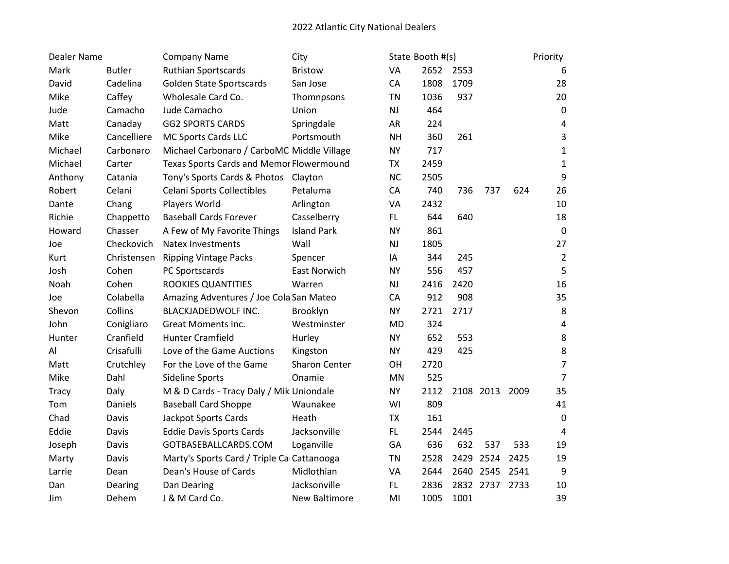| <b>Dealer Name</b> |               | <b>Company Name</b>                         | City                 |           | State Booth #(s) |      |                |      | Priority       |
|--------------------|---------------|---------------------------------------------|----------------------|-----------|------------------|------|----------------|------|----------------|
| Mark               | <b>Butler</b> | Ruthian Sportscards                         | <b>Bristow</b>       | VA        | 2652 2553        |      |                |      | 6              |
| David              | Cadelina      | Golden State Sportscards                    | San Jose             | CA        | 1808             | 1709 |                |      | 28             |
| Mike               | Caffey        | Wholesale Card Co.                          | Thomnpsons           | <b>TN</b> | 1036             | 937  |                |      | 20             |
| Jude               | Camacho       | Jude Camacho                                | Union                | <b>NJ</b> | 464              |      |                |      | $\mathbf 0$    |
| Matt               | Canaday       | <b>GG2 SPORTS CARDS</b>                     | Springdale           | AR        | 224              |      |                |      | 4              |
| Mike               | Cancelliere   | MC Sports Cards LLC                         | Portsmouth           | <b>NH</b> | 360              | 261  |                |      | 3              |
| Michael            | Carbonaro     | Michael Carbonaro / CarboMC Middle Village  |                      | <b>NY</b> | 717              |      |                |      | $\mathbf{1}$   |
| Michael            | Carter        | Texas Sports Cards and Memor Flowermound    |                      | <b>TX</b> | 2459             |      |                |      | $\mathbf 1$    |
| Anthony            | Catania       | Tony's Sports Cards & Photos Clayton        |                      | <b>NC</b> | 2505             |      |                |      | 9              |
| Robert             | Celani        | <b>Celani Sports Collectibles</b>           | Petaluma             | CA        | 740              | 736  | 737            | 624  | 26             |
| Dante              | Chang         | Players World                               | Arlington            | VA        | 2432             |      |                |      | 10             |
| Richie             | Chappetto     | <b>Baseball Cards Forever</b>               | Casselberry          | FL.       | 644              | 640  |                |      | 18             |
| Howard             | Chasser       | A Few of My Favorite Things                 | <b>Island Park</b>   | <b>NY</b> | 861              |      |                |      | $\mathbf 0$    |
| Joe                | Checkovich    | <b>Natex Investments</b>                    | Wall                 | <b>NJ</b> | 1805             |      |                |      | 27             |
| Kurt               | Christensen   | <b>Ripping Vintage Packs</b>                | Spencer              | IA        | 344              | 245  |                |      | $\overline{2}$ |
| Josh               | Cohen         | PC Sportscards                              | <b>East Norwich</b>  | <b>NY</b> | 556              | 457  |                |      | 5              |
| Noah               | Cohen         | ROOKIES QUANTITIES                          | Warren               | <b>NJ</b> | 2416             | 2420 |                |      | 16             |
| Joe                | Colabella     | Amazing Adventures / Joe Cola San Mateo     |                      | CA        | 912              | 908  |                |      | 35             |
| Shevon             | Collins       | BLACKJADEDWOLF INC.                         | Brooklyn             | <b>NY</b> | 2721             | 2717 |                |      | 8              |
| John               | Conigliaro    | Great Moments Inc.                          | Westminster          | <b>MD</b> | 324              |      |                |      | 4              |
| Hunter             | Cranfield     | <b>Hunter Cramfield</b>                     | Hurley               | <b>NY</b> | 652              | 553  |                |      | 8              |
| Al                 | Crisafulli    | Love of the Game Auctions                   | Kingston             | <b>NY</b> | 429              | 425  |                |      | 8              |
| Matt               | Crutchley     | For the Love of the Game                    | <b>Sharon Center</b> | OH        | 2720             |      |                |      | $\overline{7}$ |
| Mike               | Dahl          | Sideline Sports                             | Onamie               | MN        | 525              |      |                |      | $\overline{7}$ |
| <b>Tracy</b>       | Daly          | M & D Cards - Tracy Daly / Mik Uniondale    |                      | <b>NY</b> | 2112             |      | 2108 2013 2009 |      | 35             |
| Tom                | Daniels       | <b>Baseball Card Shoppe</b>                 | Waunakee             | WI        | 809              |      |                |      | 41             |
| Chad               | Davis         | Jackpot Sports Cards                        | Heath                | <b>TX</b> | 161              |      |                |      | $\mathbf 0$    |
| Eddie              | Davis         | <b>Eddie Davis Sports Cards</b>             | Jacksonville         | FL.       | 2544             | 2445 |                |      | 4              |
| Joseph             | Davis         | GOTBASEBALLCARDS.COM                        | Loganville           | GA        | 636              | 632  | 537            | 533  | 19             |
| Marty              | Davis         | Marty's Sports Card / Triple Cal Cattanooga |                      | <b>TN</b> | 2528             |      | 2429 2524      | 2425 | 19             |
| Larrie             | Dean          | Dean's House of Cards                       | Midlothian           | VA        | 2644             |      | 2640 2545      | 2541 | 9              |
| Dan                | Dearing       | Dan Dearing                                 | Jacksonville         | FL.       | 2836             |      | 2832 2737      | 2733 | 10             |
| Jim                | Dehem         | J & M Card Co.                              | New Baltimore        | MI        | 1005             | 1001 |                |      | 39             |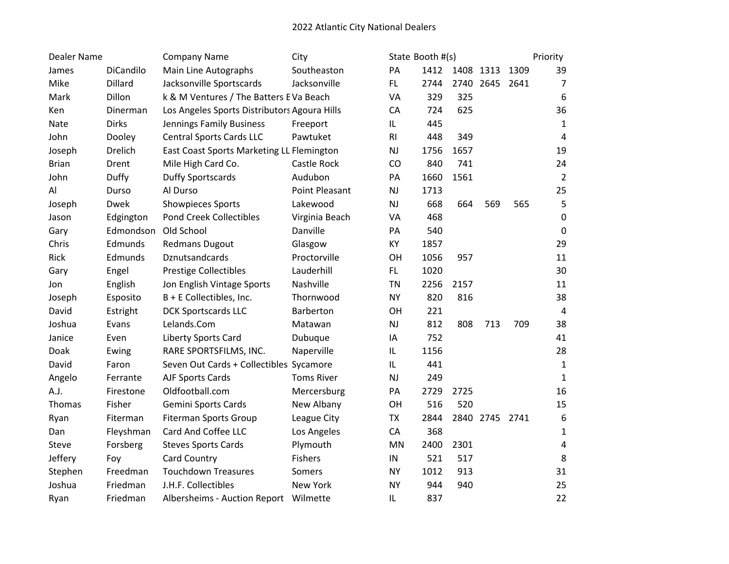| Dealer Name  |              | <b>Company Name</b>                          | City                  |                | State Booth #(s) |           |                |      | Priority       |
|--------------|--------------|----------------------------------------------|-----------------------|----------------|------------------|-----------|----------------|------|----------------|
| James        | DiCandilo    | Main Line Autographs                         | Southeaston           | PA             | 1412             | 1408 1313 |                | 1309 | 39             |
| Mike         | Dillard      | Jacksonville Sportscards                     | Jacksonville          | FL.            | 2744             |           | 2740 2645 2641 |      | $\overline{7}$ |
| Mark         | Dillon       | k & M Ventures / The Batters EVa Beach       |                       | VA             | 329              | 325       |                |      | 6              |
| Ken          | Dinerman     | Los Angeles Sports Distributors Agoura Hills |                       | CA             | 724              | 625       |                |      | 36             |
| Nate         | <b>Dirks</b> | Jennings Family Business                     | Freeport              | IL             | 445              |           |                |      | $\mathbf{1}$   |
| John         | Dooley       | <b>Central Sports Cards LLC</b>              | Pawtuket              | R <sub>l</sub> | 448              | 349       |                |      | 4              |
| Joseph       | Drelich      | East Coast Sports Marketing LL Flemington    |                       | NJ             | 1756             | 1657      |                |      | 19             |
| <b>Brian</b> | Drent        | Mile High Card Co.                           | Castle Rock           | CO             | 840              | 741       |                |      | 24             |
| John         | Duffy        | <b>Duffy Sportscards</b>                     | Audubon               | PA             | 1660             | 1561      |                |      | $\overline{2}$ |
| Al           | Durso        | Al Durso                                     | <b>Point Pleasant</b> | NJ             | 1713             |           |                |      | 25             |
| Joseph       | Dwek         | Showpieces Sports                            | Lakewood              | NJ             | 668              | 664       | 569            | 565  | 5              |
| Jason        | Edgington    | <b>Pond Creek Collectibles</b>               | Virginia Beach        | VA             | 468              |           |                |      | $\mathbf 0$    |
| Gary         | Edmondson    | Old School                                   | Danville              | PA             | 540              |           |                |      | 0              |
| Chris        | Edmunds      | <b>Redmans Dugout</b>                        | Glasgow               | KY             | 1857             |           |                |      | 29             |
| Rick         | Edmunds      | Dznutsandcards                               | Proctorville          | OH             | 1056             | 957       |                |      | 11             |
| Gary         | Engel        | <b>Prestige Collectibles</b>                 | Lauderhill            | FL.            | 1020             |           |                |      | 30             |
| Jon          | English      | Jon English Vintage Sports                   | Nashville             | <b>TN</b>      | 2256             | 2157      |                |      | 11             |
| Joseph       | Esposito     | B + E Collectibles, Inc.                     | Thornwood             | <b>NY</b>      | 820              | 816       |                |      | 38             |
| David        | Estright     | <b>DCK Sportscards LLC</b>                   | Barberton             | OH             | 221              |           |                |      | 4              |
| Joshua       | Evans        | Lelands.Com                                  | Matawan               | NJ             | 812              | 808       | 713            | 709  | 38             |
| Janice       | Even         | Liberty Sports Card                          | Dubuque               | IA             | 752              |           |                |      | 41             |
| Doak         | Ewing        | RARE SPORTSFILMS, INC.                       | Naperville            | IL             | 1156             |           |                |      | 28             |
| David        | Faron        | Seven Out Cards + Collectibles Sycamore      |                       | IL             | 441              |           |                |      | $\mathbf 1$    |
| Angelo       | Ferrante     | AJF Sports Cards                             | <b>Toms River</b>     | NJ             | 249              |           |                |      | $\mathbf 1$    |
| A.J.         | Firestone    | Oldfootball.com                              | Mercersburg           | PA             | 2729             | 2725      |                |      | 16             |
| Thomas       | Fisher       | <b>Gemini Sports Cards</b>                   | New Albany            | OH             | 516              | 520       |                |      | 15             |
| Ryan         | Fiterman     | <b>Fiterman Sports Group</b>                 | League City           | <b>TX</b>      | 2844             |           | 2840 2745 2741 |      | 6              |
| Dan          | Fleyshman    | Card And Coffee LLC                          | Los Angeles           | CA             | 368              |           |                |      | 1              |
| Steve        | Forsberg     | <b>Steves Sports Cards</b>                   | Plymouth              | MN             | 2400             | 2301      |                |      | 4              |
| Jeffery      | Foy          | Card Country                                 | Fishers               | IN             | 521              | 517       |                |      | 8              |
| Stephen      | Freedman     | <b>Touchdown Treasures</b>                   | Somers                | <b>NY</b>      | 1012             | 913       |                |      | 31             |
| Joshua       | Friedman     | J.H.F. Collectibles                          | New York              | <b>NY</b>      | 944              | 940       |                |      | 25             |
| Ryan         | Friedman     | Albersheims - Auction Report Wilmette        |                       | IL             | 837              |           |                |      | 22             |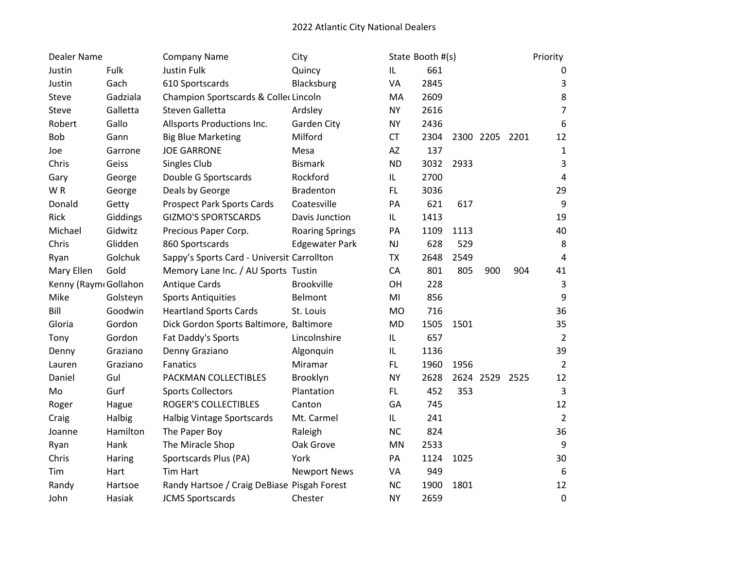| Dealer Name          |          | <b>Company Name</b>                         | City                   |               | State Booth #(s) |      |                |     | Priority       |
|----------------------|----------|---------------------------------------------|------------------------|---------------|------------------|------|----------------|-----|----------------|
| Justin               | Fulk     | <b>Justin Fulk</b>                          | Quincy                 | IL            | 661              |      |                |     | 0              |
| Justin               | Gach     | 610 Sportscards                             | Blacksburg             | VA            | 2845             |      |                |     | 3              |
| Steve                | Gadziala | Champion Sportscards & Collec Lincoln       |                        | MA            | 2609             |      |                |     | 8              |
| Steve                | Galletta | Steven Galletta                             | Ardsley                | <b>NY</b>     | 2616             |      |                |     | $\overline{7}$ |
| Robert               | Gallo    | Allsports Productions Inc.                  | <b>Garden City</b>     | <b>NY</b>     | 2436             |      |                |     | 6              |
| <b>Bob</b>           | Gann     | <b>Big Blue Marketing</b>                   | Milford                | <b>CT</b>     | 2304             |      | 2300 2205 2201 |     | 12             |
| Joe                  | Garrone  | <b>JOE GARRONE</b>                          | Mesa                   | AZ            | 137              |      |                |     | $\mathbf 1$    |
| Chris                | Geiss    | Singles Club                                | <b>Bismark</b>         | <b>ND</b>     | 3032             | 2933 |                |     | 3              |
| Gary                 | George   | Double G Sportscards                        | Rockford               | IL            | 2700             |      |                |     | $\sqrt{4}$     |
| WR                   | George   | Deals by George                             | <b>Bradenton</b>       | FL            | 3036             |      |                |     | 29             |
| Donald               | Getty    | <b>Prospect Park Sports Cards</b>           | Coatesville            | PA            | 621              | 617  |                |     | 9              |
| Rick                 | Giddings | <b>GIZMO'S SPORTSCARDS</b>                  | Davis Junction         | IL            | 1413             |      |                |     | 19             |
| Michael              | Gidwitz  | Precious Paper Corp.                        | <b>Roaring Springs</b> | PA            | 1109             | 1113 |                |     | 40             |
| Chris                | Glidden  | 860 Sportscards                             | <b>Edgewater Park</b>  | $\mathsf{NJ}$ | 628              | 529  |                |     | 8              |
| Ryan                 | Golchuk  | Sappy's Sports Card - Universit Carrollton  |                        | <b>TX</b>     | 2648             | 2549 |                |     | 4              |
| Mary Ellen           | Gold     | Memory Lane Inc. / AU Sports Tustin         |                        | CA            | 801              | 805  | 900            | 904 | 41             |
| Kenny (Raym Gollahon |          | <b>Antique Cards</b>                        | <b>Brookville</b>      | OH            | 228              |      |                |     | 3              |
| Mike                 | Golsteyn | <b>Sports Antiquities</b>                   | Belmont                | MI            | 856              |      |                |     | 9              |
| Bill                 | Goodwin  | <b>Heartland Sports Cards</b>               | St. Louis              | <b>MO</b>     | 716              |      |                |     | 36             |
| Gloria               | Gordon   | Dick Gordon Sports Baltimore, Baltimore     |                        | <b>MD</b>     | 1505             | 1501 |                |     | 35             |
| Tony                 | Gordon   | Fat Daddy's Sports                          | Lincolnshire           | IL            | 657              |      |                |     | $\overline{2}$ |
| Denny                | Graziano | Denny Graziano                              | Algonquin              | IL            | 1136             |      |                |     | 39             |
| Lauren               | Graziano | Fanatics                                    | Miramar                | FL            | 1960             | 1956 |                |     | $\overline{2}$ |
| Daniel               | Gul      | PACKMAN COLLECTIBLES                        | Brooklyn               | <b>NY</b>     | 2628             |      | 2624 2529 2525 |     | 12             |
| Mo                   | Gurf     | <b>Sports Collectors</b>                    | Plantation             | <b>FL</b>     | 452              | 353  |                |     | 3              |
| Roger                | Hague    | <b>ROGER'S COLLECTIBLES</b>                 | Canton                 | GA            | 745              |      |                |     | 12             |
| Craig                | Halbig   | <b>Halbig Vintage Sportscards</b>           | Mt. Carmel             | IL.           | 241              |      |                |     | $\overline{2}$ |
| Joanne               | Hamilton | The Paper Boy                               | Raleigh                | <b>NC</b>     | 824              |      |                |     | 36             |
| Ryan                 | Hank     | The Miracle Shop                            | Oak Grove              | MN            | 2533             |      |                |     | 9              |
| Chris                | Haring   | Sportscards Plus (PA)                       | York                   | PA            | 1124             | 1025 |                |     | 30             |
| Tim                  | Hart     | <b>Tim Hart</b>                             | <b>Newport News</b>    | VA            | 949              |      |                |     | 6              |
| Randy                | Hartsoe  | Randy Hartsoe / Craig DeBiase Pisgah Forest |                        | <b>NC</b>     | 1900             | 1801 |                |     | 12             |
| John                 | Hasiak   | <b>JCMS Sportscards</b>                     | Chester                | <b>NY</b>     | 2659             |      |                |     | $\mathbf 0$    |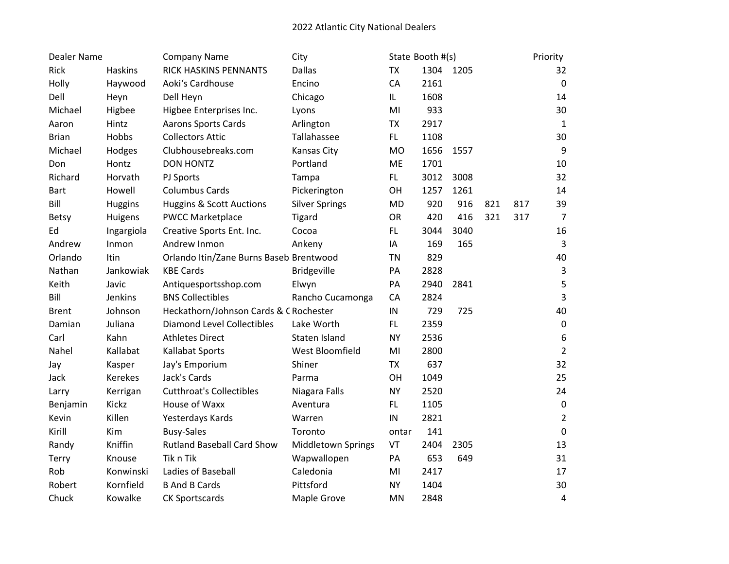| Dealer Name  |                | <b>Company Name</b>                     | City                      |           | State Booth #(s) |           |     |     | Priority         |
|--------------|----------------|-----------------------------------------|---------------------------|-----------|------------------|-----------|-----|-----|------------------|
| Rick         | <b>Haskins</b> | RICK HASKINS PENNANTS                   | <b>Dallas</b>             | <b>TX</b> |                  | 1304 1205 |     |     | 32               |
| Holly        | Haywood        | Aoki's Cardhouse                        | Encino                    | CA        | 2161             |           |     |     | $\mathbf 0$      |
| Dell         | Heyn           | Dell Heyn                               | Chicago                   | IL        | 1608             |           |     |     | 14               |
| Michael      | Higbee         | Higbee Enterprises Inc.                 | Lyons                     | MI        | 933              |           |     |     | 30               |
| Aaron        | Hintz          | <b>Aarons Sports Cards</b>              | Arlington                 | <b>TX</b> | 2917             |           |     |     | $\mathbf{1}$     |
| <b>Brian</b> | Hobbs          | <b>Collectors Attic</b>                 | Tallahassee               | FL        | 1108             |           |     |     | 30               |
| Michael      | Hodges         | Clubhousebreaks.com                     | Kansas City               | <b>MO</b> | 1656             | 1557      |     |     | $\boldsymbol{9}$ |
| Don          | Hontz          | <b>DON HONTZ</b>                        | Portland                  | ME        | 1701             |           |     |     | 10               |
| Richard      | Horvath        | PJ Sports                               | Tampa                     | FL.       | 3012             | 3008      |     |     | 32               |
| <b>Bart</b>  | Howell         | <b>Columbus Cards</b>                   | Pickerington              | OH        | 1257             | 1261      |     |     | 14               |
| Bill         | Huggins        | <b>Huggins &amp; Scott Auctions</b>     | <b>Silver Springs</b>     | <b>MD</b> | 920              | 916       | 821 | 817 | 39               |
| <b>Betsy</b> | Huigens        | <b>PWCC Marketplace</b>                 | Tigard                    | OR        | 420              | 416       | 321 | 317 | $\overline{7}$   |
| Ed           | Ingargiola     | Creative Sports Ent. Inc.               | Cocoa                     | FL.       | 3044             | 3040      |     |     | 16               |
| Andrew       | Inmon          | Andrew Inmon                            | Ankeny                    | IA        | 169              | 165       |     |     | $\mathsf{3}$     |
| Orlando      | Itin           | Orlando Itin/Zane Burns Baseb Brentwood |                           | <b>TN</b> | 829              |           |     |     | 40               |
| Nathan       | Jankowiak      | <b>KBE Cards</b>                        | <b>Bridgeville</b>        | PA        | 2828             |           |     |     | $\mathsf 3$      |
| Keith        | Javic          | Antiquesportsshop.com                   | Elwyn                     | PA        | 2940             | 2841      |     |     | 5                |
| Bill         | <b>Jenkins</b> | <b>BNS Collectibles</b>                 | Rancho Cucamonga          | CA        | 2824             |           |     |     | 3                |
| <b>Brent</b> | Johnson        | Heckathorn/Johnson Cards & C Rochester  |                           | IN        | 729              | 725       |     |     | 40               |
| Damian       | Juliana        | <b>Diamond Level Collectibles</b>       | Lake Worth                | FL        | 2359             |           |     |     | $\pmb{0}$        |
| Carl         | Kahn           | <b>Athletes Direct</b>                  | Staten Island             | <b>NY</b> | 2536             |           |     |     | 6                |
| Nahel        | Kallabat       | <b>Kallabat Sports</b>                  | West Bloomfield           | MI        | 2800             |           |     |     | $\overline{2}$   |
| Jay          | Kasper         | Jay's Emporium                          | Shiner                    | <b>TX</b> | 637              |           |     |     | 32               |
| Jack         | <b>Kerekes</b> | Jack's Cards                            | Parma                     | OH        | 1049             |           |     |     | 25               |
| Larry        | Kerrigan       | <b>Cutthroat's Collectibles</b>         | Niagara Falls             | <b>NY</b> | 2520             |           |     |     | 24               |
| Benjamin     | Kickz          | House of Waxx                           | Aventura                  | FL        | 1105             |           |     |     | $\pmb{0}$        |
| Kevin        | Killen         | Yesterdays Kards                        | Warren                    | IN        | 2821             |           |     |     | $\overline{2}$   |
| Kirill       | Kim            | <b>Busy-Sales</b>                       | Toronto                   | ontar     | 141              |           |     |     | $\pmb{0}$        |
| Randy        | Kniffin        | <b>Rutland Baseball Card Show</b>       | <b>Middletown Springs</b> | VT        | 2404             | 2305      |     |     | 13               |
| Terry        | Knouse         | Tik n Tik                               | Wapwallopen               | PA        | 653              | 649       |     |     | 31               |
| Rob          | Konwinski      | Ladies of Baseball                      | Caledonia                 | MI        | 2417             |           |     |     | 17               |
| Robert       | Kornfield      | <b>B And B Cards</b>                    | Pittsford                 | <b>NY</b> | 1404             |           |     |     | 30               |
| Chuck        | Kowalke        | <b>CK Sportscards</b>                   | Maple Grove               | MN        | 2848             |           |     |     | 4                |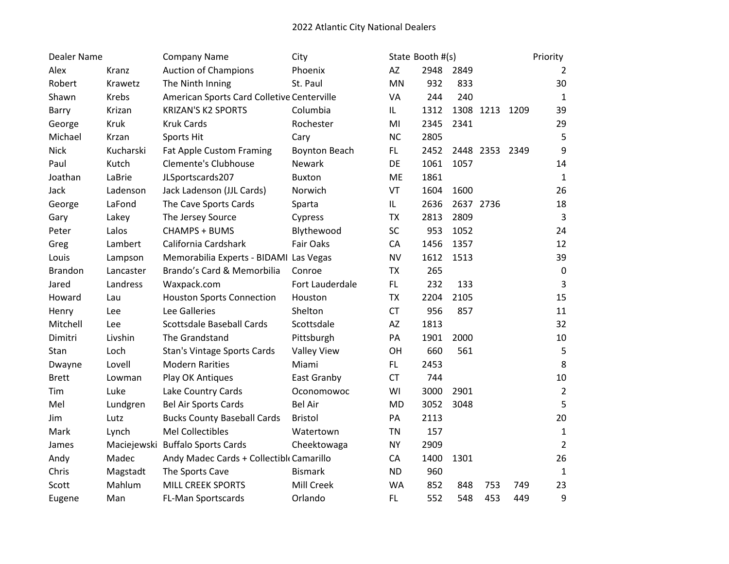| <b>Dealer Name</b> |           | <b>Company Name</b>                        | City                 |           | State Booth #(s) |           |                |     | Priority       |
|--------------------|-----------|--------------------------------------------|----------------------|-----------|------------------|-----------|----------------|-----|----------------|
| Alex               | Kranz     | <b>Auction of Champions</b>                | Phoenix              | AZ        | 2948             | 2849      |                |     | 2              |
| Robert             | Krawetz   | The Ninth Inning                           | St. Paul             | MN        | 932              | 833       |                |     | 30             |
| Shawn              | Krebs     | American Sports Card Colletive Centerville |                      | VA        | 244              | 240       |                |     | $1\,$          |
| Barry              | Krizan    | <b>KRIZAN'S K2 SPORTS</b>                  | Columbia             | IL        | 1312             |           | 1308 1213 1209 |     | 39             |
| George             | Kruk      | <b>Kruk Cards</b>                          | Rochester            | MI        | 2345             | 2341      |                |     | 29             |
| Michael            | Krzan     | Sports Hit                                 | Cary                 | <b>NC</b> | 2805             |           |                |     | 5              |
| <b>Nick</b>        | Kucharski | <b>Fat Apple Custom Framing</b>            | <b>Boynton Beach</b> | FL.       | 2452             |           | 2448 2353 2349 |     | 9              |
| Paul               | Kutch     | Clemente's Clubhouse                       | Newark               | DE        | 1061             | 1057      |                |     | 14             |
| Joathan            | LaBrie    | JLSportscards207                           | <b>Buxton</b>        | <b>ME</b> | 1861             |           |                |     | $1\,$          |
| Jack               | Ladenson  | Jack Ladenson (JJL Cards)                  | Norwich              | VT        | 1604             | 1600      |                |     | 26             |
| George             | LaFond    | The Cave Sports Cards                      | Sparta               | IL        | 2636             | 2637 2736 |                |     | 18             |
| Gary               | Lakey     | The Jersey Source                          | Cypress              | <b>TX</b> | 2813             | 2809      |                |     | $\overline{3}$ |
| Peter              | Lalos     | <b>CHAMPS + BUMS</b>                       | Blythewood           | SC        | 953              | 1052      |                |     | 24             |
| Greg               | Lambert   | California Cardshark                       | <b>Fair Oaks</b>     | CA        | 1456             | 1357      |                |     | 12             |
| Louis              | Lampson   | Memorabilia Experts - BIDAMI Las Vegas     |                      | <b>NV</b> | 1612             | 1513      |                |     | 39             |
| <b>Brandon</b>     | Lancaster | Brando's Card & Memorbilia                 | Conroe               | <b>TX</b> | 265              |           |                |     | $\pmb{0}$      |
| Jared              | Landress  | Waxpack.com                                | Fort Lauderdale      | FL.       | 232              | 133       |                |     | $\overline{3}$ |
| Howard             | Lau       | <b>Houston Sports Connection</b>           | Houston              | <b>TX</b> | 2204             | 2105      |                |     | 15             |
| Henry              | Lee       | Lee Galleries                              | Shelton              | <b>CT</b> | 956              | 857       |                |     | 11             |
| Mitchell           | Lee       | <b>Scottsdale Baseball Cards</b>           | Scottsdale           | AZ        | 1813             |           |                |     | 32             |
| Dimitri            | Livshin   | The Grandstand                             | Pittsburgh           | PA        | 1901             | 2000      |                |     | 10             |
| Stan               | Loch      | Stan's Vintage Sports Cards                | <b>Valley View</b>   | OH        | 660              | 561       |                |     | 5              |
| Dwayne             | Lovell    | <b>Modern Rarities</b>                     | Miami                | FL.       | 2453             |           |                |     | 8              |
| <b>Brett</b>       | Lowman    | Play OK Antiques                           | East Granby          | <b>CT</b> | 744              |           |                |     | 10             |
| Tim                | Luke      | Lake Country Cards                         | Oconomowoc           | WI        | 3000             | 2901      |                |     | $\overline{2}$ |
| Mel                | Lundgren  | <b>Bel Air Sports Cards</b>                | <b>Bel Air</b>       | <b>MD</b> | 3052             | 3048      |                |     | 5              |
| Jim                | Lutz      | <b>Bucks County Baseball Cards</b>         | <b>Bristol</b>       | PA        | 2113             |           |                |     | 20             |
| Mark               | Lynch     | <b>Mel Collectibles</b>                    | Watertown            | <b>TN</b> | 157              |           |                |     | $\mathbf{1}$   |
| James              |           | Maciejewski Buffalo Sports Cards           | Cheektowaga          | <b>NY</b> | 2909             |           |                |     | $\overline{2}$ |
| Andy               | Madec     | Andy Madec Cards + Collectible Camarillo   |                      | CA        | 1400             | 1301      |                |     | 26             |
| Chris              | Magstadt  | The Sports Cave                            | <b>Bismark</b>       | <b>ND</b> | 960              |           |                |     | $1\,$          |
| Scott              | Mahlum    | <b>MILL CREEK SPORTS</b>                   | Mill Creek           | <b>WA</b> | 852              | 848       | 753            | 749 | 23             |
| Eugene             | Man       | <b>FL-Man Sportscards</b>                  | Orlando              | FL        | 552              | 548       | 453            | 449 | 9              |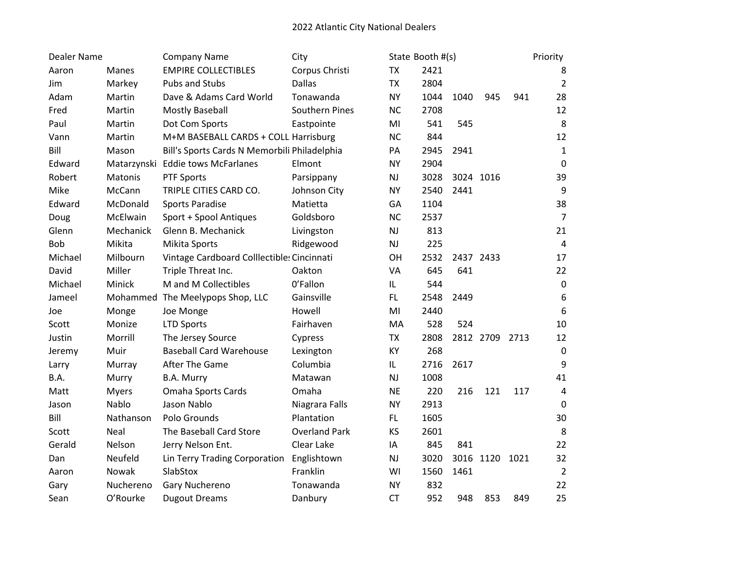| <b>Dealer Name</b> |              | <b>Company Name</b>                          | City                 |               | State Booth #(s) |           |                |     | Priority        |
|--------------------|--------------|----------------------------------------------|----------------------|---------------|------------------|-----------|----------------|-----|-----------------|
| Aaron              | <b>Manes</b> | <b>EMPIRE COLLECTIBLES</b>                   | Corpus Christi       | <b>TX</b>     | 2421             |           |                |     | 8               |
| Jim                | Markey       | Pubs and Stubs                               | <b>Dallas</b>        | <b>TX</b>     | 2804             |           |                |     | $\overline{2}$  |
| Adam               | Martin       | Dave & Adams Card World                      | Tonawanda            | <b>NY</b>     | 1044             | 1040      | 945            | 941 | 28              |
| Fred               | Martin       | Mostly Baseball                              | Southern Pines       | <b>NC</b>     | 2708             |           |                |     | 12              |
| Paul               | Martin       | Dot Com Sports                               | Eastpointe           | MI            | 541              | 545       |                |     | 8               |
| Vann               | Martin       | M+M BASEBALL CARDS + COLL Harrisburg         |                      | <b>NC</b>     | 844              |           |                |     | 12              |
| Bill               | Mason        | Bill's Sports Cards N Memorbili Philadelphia |                      | PA            | 2945             | 2941      |                |     | $\mathbf{1}$    |
| Edward             |              | Matarzynski Eddie tows McFarlanes            | Elmont               | <b>NY</b>     | 2904             |           |                |     | $\pmb{0}$       |
| Robert             | Matonis      | <b>PTF Sports</b>                            | Parsippany           | NJ            | 3028             | 3024 1016 |                |     | 39              |
| Mike               | McCann       | TRIPLE CITIES CARD CO.                       | Johnson City         | <b>NY</b>     | 2540             | 2441      |                |     | 9               |
| Edward             | McDonald     | <b>Sports Paradise</b>                       | Matietta             | GA            | 1104             |           |                |     | 38              |
| Doug               | McElwain     | Sport + Spool Antiques                       | Goldsboro            | <b>NC</b>     | 2537             |           |                |     | $\overline{7}$  |
| Glenn              | Mechanick    | Glenn B. Mechanick                           | Livingston           | NJ            | 813              |           |                |     | 21              |
| Bob                | Mikita       | Mikita Sports                                | Ridgewood            | $\mathsf{NJ}$ | 225              |           |                |     | $\sqrt{4}$      |
| Michael            | Milbourn     | Vintage Cardboard Colllectibles Cincinnati   |                      | OH            | 2532             | 2437 2433 |                |     | 17              |
| David              | Miller       | Triple Threat Inc.                           | Oakton               | VA            | 645              | 641       |                |     | 22              |
| Michael            | Minick       | M and M Collectibles                         | 0'Fallon             | IL            | 544              |           |                |     | $\pmb{0}$       |
| Jameel             |              | Mohammed The Meelypops Shop, LLC             | Gainsville           | FL.           | 2548             | 2449      |                |     | 6               |
| Joe                | Monge        | Joe Monge                                    | Howell               | MI            | 2440             |           |                |     | $6\phantom{1}6$ |
| Scott              | Monize       | <b>LTD Sports</b>                            | Fairhaven            | MA            | 528              | 524       |                |     | 10              |
| Justin             | Morrill      | The Jersey Source                            | Cypress              | <b>TX</b>     | 2808             |           | 2812 2709 2713 |     | 12              |
| Jeremy             | Muir         | <b>Baseball Card Warehouse</b>               | Lexington            | KY            | 268              |           |                |     | $\mathbf 0$     |
| Larry              | Murray       | After The Game                               | Columbia             | IL            | 2716             | 2617      |                |     | 9               |
| B.A.               | Murry        | B.A. Murry                                   | Matawan              | NJ            | 1008             |           |                |     | 41              |
| Matt               | <b>Myers</b> | Omaha Sports Cards                           | Omaha                | <b>NE</b>     | 220              | 216       | 121            | 117 | 4               |
| Jason              | Nablo        | Jason Nablo                                  | Niagrara Falls       | <b>NY</b>     | 2913             |           |                |     | $\mathbf 0$     |
| Bill               | Nathanson    | Polo Grounds                                 | Plantation           | FL.           | 1605             |           |                |     | 30              |
| Scott              | <b>Neal</b>  | The Baseball Card Store                      | <b>Overland Park</b> | KS            | 2601             |           |                |     | 8               |
| Gerald             | Nelson       | Jerry Nelson Ent.                            | Clear Lake           | IA            | 845              | 841       |                |     | 22              |
| Dan                | Neufeld      | Lin Terry Trading Corporation                | Englishtown          | NJ            | 3020             |           | 3016 1120 1021 |     | 32              |
| Aaron              | Nowak        | SlabStox                                     | Franklin             | WI            | 1560             | 1461      |                |     | $\overline{2}$  |
| Gary               | Nuchereno    | Gary Nuchereno                               | Tonawanda            | <b>NY</b>     | 832              |           |                |     | 22              |
| Sean               | O'Rourke     | <b>Dugout Dreams</b>                         | Danbury              | <b>CT</b>     | 952              | 948       | 853            | 849 | 25              |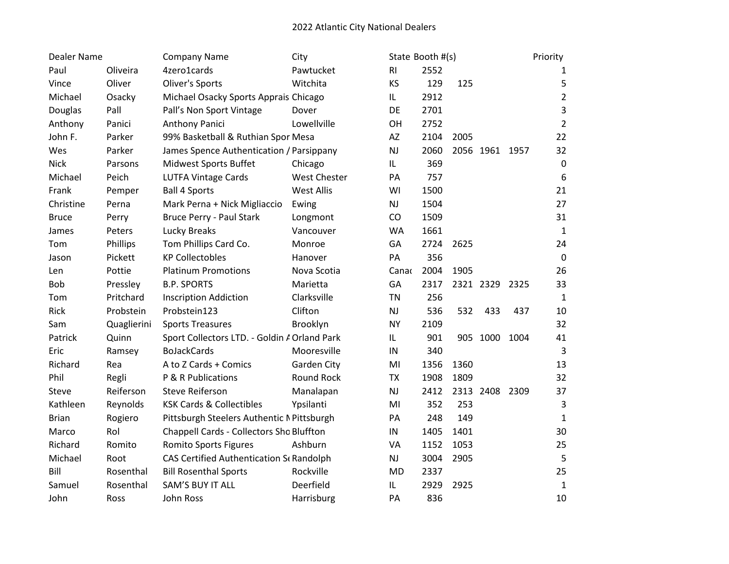| Dealer Name  |             | <b>Company Name</b>                          | City                |                        | State Booth #(s) |      |                |     | Priority       |
|--------------|-------------|----------------------------------------------|---------------------|------------------------|------------------|------|----------------|-----|----------------|
| Paul         | Oliveira    | 4zero1cards                                  | Pawtucket           | R1                     | 2552             |      |                |     | 1              |
| Vince        | Oliver      | Oliver's Sports                              | Witchita            | <b>KS</b>              | 129              | 125  |                |     | 5              |
| Michael      | Osacky      | Michael Osacky Sports Apprais Chicago        |                     | IL.                    | 2912             |      |                |     | $\overline{2}$ |
| Douglas      | Pall        | Pall's Non Sport Vintage                     | Dover               | DE                     | 2701             |      |                |     | 3              |
| Anthony      | Panici      | Anthony Panici                               | Lowellville         | OH                     | 2752             |      |                |     | $\overline{2}$ |
| John F.      | Parker      | 99% Basketball & Ruthian Spor Mesa           |                     | AZ                     | 2104             | 2005 |                |     | 22             |
| Wes          | Parker      | James Spence Authentication / Parsippany     |                     | NJ                     | 2060             |      | 2056 1961 1957 |     | 32             |
| <b>Nick</b>  | Parsons     | <b>Midwest Sports Buffet</b>                 | Chicago             | IL                     | 369              |      |                |     | $\pmb{0}$      |
| Michael      | Peich       | <b>LUTFA Vintage Cards</b>                   | <b>West Chester</b> | PA                     | 757              |      |                |     | 6              |
| Frank        | Pemper      | <b>Ball 4 Sports</b>                         | <b>West Allis</b>   | WI                     | 1500             |      |                |     | 21             |
| Christine    | Perna       | Mark Perna + Nick Migliaccio                 | Ewing               | <b>NJ</b>              | 1504             |      |                |     | 27             |
| <b>Bruce</b> | Perry       | <b>Bruce Perry - Paul Stark</b>              | Longmont            | CO                     | 1509             |      |                |     | 31             |
| James        | Peters      | Lucky Breaks                                 | Vancouver           | <b>WA</b>              | 1661             |      |                |     | $\mathbf{1}$   |
| Tom          | Phillips    | Tom Phillips Card Co.                        | Monroe              | GA                     | 2724             | 2625 |                |     | 24             |
| Jason        | Pickett     | <b>KP Collectobles</b>                       | Hanover             | PA                     | 356              |      |                |     | $\pmb{0}$      |
| Len          | Pottie      | <b>Platinum Promotions</b>                   | Nova Scotia         | Canao                  | 2004             | 1905 |                |     | 26             |
| <b>Bob</b>   | Pressley    | <b>B.P. SPORTS</b>                           | Marietta            | GA                     | 2317             |      | 2321 2329 2325 |     | 33             |
| Tom          | Pritchard   | <b>Inscription Addiction</b>                 | Clarksville         | <b>TN</b>              | 256              |      |                |     | 1              |
| Rick         | Probstein   | Probstein123                                 | Clifton             | $\mathsf{N}\mathsf{J}$ | 536              | 532  | 433            | 437 | 10             |
| Sam          | Quaglierini | <b>Sports Treasures</b>                      | Brooklyn            | <b>NY</b>              | 2109             |      |                |     | 32             |
| Patrick      | Quinn       | Sport Collectors LTD. - Goldin A Orland Park |                     | IL                     | 901              |      | 905 1000 1004  |     | 41             |
| Eric         | Ramsey      | <b>BoJackCards</b>                           | Mooresville         | IN                     | 340              |      |                |     | 3              |
| Richard      | Rea         | A to Z Cards + Comics                        | <b>Garden City</b>  | MI                     | 1356             | 1360 |                |     | 13             |
| Phil         | Regli       | P & R Publications                           | <b>Round Rock</b>   | <b>TX</b>              | 1908             | 1809 |                |     | 32             |
| Steve        | Reiferson   | <b>Steve Reiferson</b>                       | Manalapan           | $\mathsf{N}\mathsf{J}$ | 2412             |      | 2313 2408 2309 |     | 37             |
| Kathleen     | Reynolds    | <b>KSK Cards &amp; Collectibles</b>          | Ypsilanti           | MI                     | 352              | 253  |                |     | 3              |
| <b>Brian</b> | Rogiero     | Pittsburgh Steelers Authentic N Pittsburgh   |                     | PA                     | 248              | 149  |                |     | 1              |
| Marco        | Rol         | Chappell Cards - Collectors Sho Bluffton     |                     | IN                     | 1405             | 1401 |                |     | 30             |
| Richard      | Romito      | <b>Romito Sports Figures</b>                 | Ashburn             | VA                     | 1152             | 1053 |                |     | 25             |
| Michael      | Root        | CAS Certified Authentication St Randolph     |                     | <b>NJ</b>              | 3004             | 2905 |                |     | 5              |
| Bill         | Rosenthal   | <b>Bill Rosenthal Sports</b>                 | Rockville           | <b>MD</b>              | 2337             |      |                |     | 25             |
| Samuel       | Rosenthal   | SAM'S BUY IT ALL                             | Deerfield           | IL                     | 2929             | 2925 |                |     | $\mathbf 1$    |
| John         | Ross        | John Ross                                    | Harrisburg          | PA                     | 836              |      |                |     | 10             |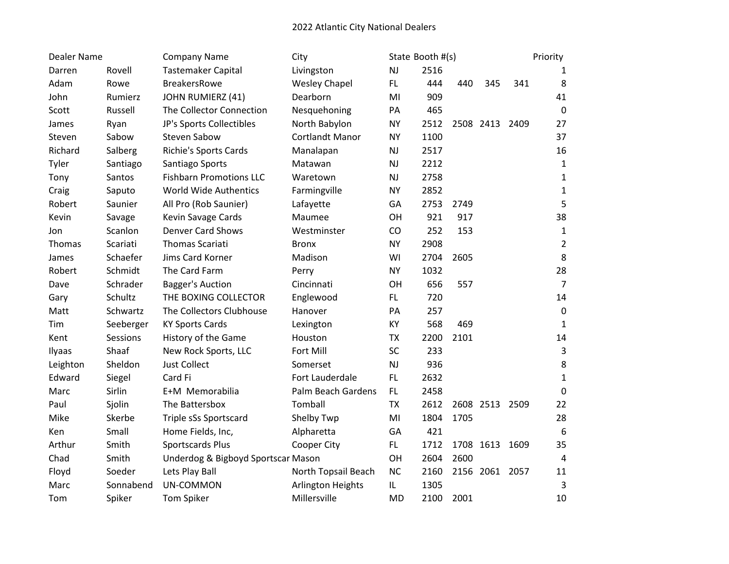| Dealer Name |           | <b>Company Name</b>                | City                     |           | State Booth #(s) |      |                |      | Priority       |
|-------------|-----------|------------------------------------|--------------------------|-----------|------------------|------|----------------|------|----------------|
| Darren      | Rovell    | <b>Tastemaker Capital</b>          | Livingston               | NJ        | 2516             |      |                |      | 1              |
| Adam        | Rowe      | <b>BreakersRowe</b>                | <b>Wesley Chapel</b>     | FL.       | 444              | 440  | 345            | 341  | 8              |
| John        | Rumierz   | JOHN RUMIERZ (41)                  | Dearborn                 | MI        | 909              |      |                |      | 41             |
| Scott       | Russell   | The Collector Connection           | Nesquehoning             | PA        | 465              |      |                |      | $\mathbf 0$    |
| James       | Ryan      | JP's Sports Collectibles           | North Babylon            | <b>NY</b> | 2512             |      | 2508 2413 2409 |      | 27             |
| Steven      | Sabow     | Steven Sabow                       | <b>Cortlandt Manor</b>   | <b>NY</b> | 1100             |      |                |      | 37             |
| Richard     | Salberg   | <b>Richie's Sports Cards</b>       | Manalapan                | NJ        | 2517             |      |                |      | 16             |
| Tyler       | Santiago  | Santiago Sports                    | Matawan                  | NJ        | 2212             |      |                |      | $\mathbf{1}$   |
| Tony        | Santos    | <b>Fishbarn Promotions LLC</b>     | Waretown                 | NJ        | 2758             |      |                |      | $\mathbf 1$    |
| Craig       | Saputo    | World Wide Authentics              | Farmingville             | <b>NY</b> | 2852             |      |                |      | $\mathbf 1$    |
| Robert      | Saunier   | All Pro (Rob Saunier)              | Lafayette                | GA        | 2753             | 2749 |                |      | 5              |
| Kevin       | Savage    | Kevin Savage Cards                 | Maumee                   | OH        | 921              | 917  |                |      | 38             |
| Jon         | Scanlon   | <b>Denver Card Shows</b>           | Westminster              | CO        | 252              | 153  |                |      | $\mathbf 1$    |
| Thomas      | Scariati  | <b>Thomas Scariati</b>             | <b>Bronx</b>             | <b>NY</b> | 2908             |      |                |      | $\overline{2}$ |
| James       | Schaefer  | Jims Card Korner                   | Madison                  | WI        | 2704             | 2605 |                |      | 8              |
| Robert      | Schmidt   | The Card Farm                      | Perry                    | <b>NY</b> | 1032             |      |                |      | 28             |
| Dave        | Schrader  | <b>Bagger's Auction</b>            | Cincinnati               | OH        | 656              | 557  |                |      | $\overline{7}$ |
| Gary        | Schultz   | THE BOXING COLLECTOR               | Englewood                | FL.       | 720              |      |                |      | 14             |
| Matt        | Schwartz  | The Collectors Clubhouse           | Hanover                  | PA        | 257              |      |                |      | $\pmb{0}$      |
| Tim         | Seeberger | <b>KY Sports Cards</b>             | Lexington                | KY        | 568              | 469  |                |      | $\mathbf{1}$   |
| Kent        | Sessions  | History of the Game                | Houston                  | <b>TX</b> | 2200             | 2101 |                |      | 14             |
| Ilyaas      | Shaaf     | New Rock Sports, LLC               | Fort Mill                | SC        | 233              |      |                |      | 3              |
| Leighton    | Sheldon   | <b>Just Collect</b>                | Somerset                 | NJ        | 936              |      |                |      | 8              |
| Edward      | Siegel    | Card Fi                            | Fort Lauderdale          | <b>FL</b> | 2632             |      |                |      | $\mathbf{1}$   |
| Marc        | Sirlin    | E+M Memorabilia                    | Palm Beach Gardens       | FL.       | 2458             |      |                |      | $\mathbf 0$    |
| Paul        | Sjolin    | The Battersbox                     | Tomball                  | <b>TX</b> | 2612             |      | 2608 2513 2509 |      | 22             |
| Mike        | Skerbe    | Triple sSs Sportscard              | Shelby Twp               | MI        | 1804             | 1705 |                |      | 28             |
| Ken         | Small     | Home Fields, Inc,                  | Alpharetta               | GA        | 421              |      |                |      | 6              |
| Arthur      | Smith     | Sportscards Plus                   | Cooper City              | FL.       | 1712             |      | 1708 1613      | 1609 | 35             |
| Chad        | Smith     | Underdog & Bigboyd Sportscar Mason |                          | OH        | 2604             | 2600 |                |      | 4              |
| Floyd       | Soeder    | Lets Play Ball                     | North Topsail Beach      | <b>NC</b> | 2160             |      | 2156 2061 2057 |      | 11             |
| Marc        | Sonnabend | UN-COMMON                          | <b>Arlington Heights</b> | IL        | 1305             |      |                |      | 3              |
| Tom         | Spiker    | <b>Tom Spiker</b>                  | Millersville             | <b>MD</b> | 2100             | 2001 |                |      | 10             |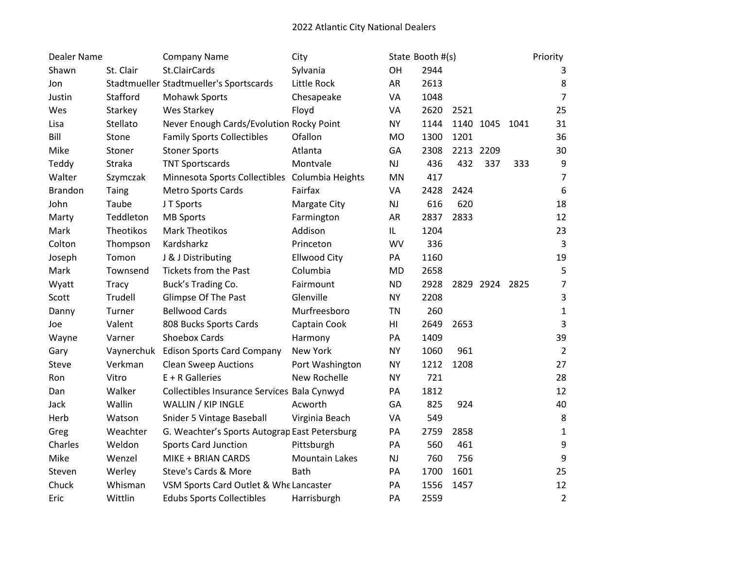| Dealer Name    |           | <b>Company Name</b>                            | City                  |           | State Booth #(s) |           |                |      | Priority       |
|----------------|-----------|------------------------------------------------|-----------------------|-----------|------------------|-----------|----------------|------|----------------|
| Shawn          | St. Clair | St.ClairCards                                  | Sylvania              | OH        | 2944             |           |                |      | 3              |
| Jon            |           | Stadtmueller Stadtmueller's Sportscards        | Little Rock           | <b>AR</b> | 2613             |           |                |      | 8              |
| Justin         | Stafford  | <b>Mohawk Sports</b>                           | Chesapeake            | VA        | 1048             |           |                |      | $\overline{7}$ |
| Wes            | Starkey   | Wes Starkey                                    | Floyd                 | VA        | 2620             | 2521      |                |      | 25             |
| Lisa           | Stellato  | Never Enough Cards/Evolution Rocky Point       |                       | <b>NY</b> | 1144             |           | 1140 1045      | 1041 | 31             |
| Bill           | Stone     | <b>Family Sports Collectibles</b>              | Ofallon               | MO        | 1300             | 1201      |                |      | 36             |
| Mike           | Stoner    | <b>Stoner Sports</b>                           | Atlanta               | GA        | 2308             | 2213 2209 |                |      | 30             |
| Teddy          | Straka    | <b>TNT Sportscards</b>                         | Montvale              | <b>NJ</b> | 436              | 432       | 337            | 333  | 9              |
| Walter         | Szymczak  | Minnesota Sports Collectibles Columbia Heights |                       | <b>MN</b> | 417              |           |                |      | $\overline{7}$ |
| <b>Brandon</b> | Taing     | <b>Metro Sports Cards</b>                      | Fairfax               | VA        | 2428             | 2424      |                |      | 6              |
| John           | Taube     | JT Sports                                      | Margate City          | NJ        | 616              | 620       |                |      | 18             |
| Marty          | Teddleton | <b>MB Sports</b>                               | Farmington            | AR        | 2837             | 2833      |                |      | 12             |
| Mark           | Theotikos | <b>Mark Theotikos</b>                          | Addison               | IL        | 1204             |           |                |      | 23             |
| Colton         | Thompson  | Kardsharkz                                     | Princeton             | <b>WV</b> | 336              |           |                |      | $\mathsf{3}$   |
| Joseph         | Tomon     | J & J Distributing                             | <b>Ellwood City</b>   | PA        | 1160             |           |                |      | 19             |
| Mark           | Townsend  | <b>Tickets from the Past</b>                   | Columbia              | <b>MD</b> | 2658             |           |                |      | 5              |
| Wyatt          | Tracy     | Buck's Trading Co.                             | Fairmount             | <b>ND</b> | 2928             |           | 2829 2924 2825 |      | 7              |
| Scott          | Trudell   | Glimpse Of The Past                            | Glenville             | <b>NY</b> | 2208             |           |                |      | 3              |
| Danny          | Turner    | <b>Bellwood Cards</b>                          | Murfreesboro          | <b>TN</b> | 260              |           |                |      | $\mathbf 1$    |
| Joe            | Valent    | 808 Bucks Sports Cards                         | Captain Cook          | HI        | 2649             | 2653      |                |      | 3              |
| Wayne          | Varner    | Shoebox Cards                                  | Harmony               | PA        | 1409             |           |                |      | 39             |
| Gary           |           | Vaynerchuk Edison Sports Card Company          | New York              | <b>NY</b> | 1060             | 961       |                |      | $\overline{2}$ |
| Steve          | Verkman   | <b>Clean Sweep Auctions</b>                    | Port Washington       | <b>NY</b> | 1212             | 1208      |                |      | 27             |
| Ron            | Vitro     | $E + R$ Galleries                              | New Rochelle          | <b>NY</b> | 721              |           |                |      | 28             |
| Dan            | Walker    | Collectibles Insurance Services Bala Cynwyd    |                       | PA        | 1812             |           |                |      | 12             |
| Jack           | Wallin    | WALLIN / KIP INGLE                             | Acworth               | GA        | 825              | 924       |                |      | 40             |
| Herb           | Watson    | Snider 5 Vintage Baseball                      | Virginia Beach        | VA        | 549              |           |                |      | 8              |
| Greg           | Weachter  | G. Weachter's Sports Autograp East Petersburg  |                       | PA        | 2759             | 2858      |                |      | $\mathbf{1}$   |
| Charles        | Weldon    | <b>Sports Card Junction</b>                    | Pittsburgh            | PA        | 560              | 461       |                |      | 9              |
| Mike           | Wenzel    | MIKE + BRIAN CARDS                             | <b>Mountain Lakes</b> | <b>NJ</b> | 760              | 756       |                |      | 9              |
| Steven         | Werley    | Steve's Cards & More                           | <b>Bath</b>           | PA        | 1700             | 1601      |                |      | 25             |
| Chuck          | Whisman   | VSM Sports Card Outlet & Whe Lancaster         |                       | PA        | 1556             | 1457      |                |      | 12             |
| Eric           | Wittlin   | <b>Edubs Sports Collectibles</b>               | Harrisburgh           | PA        | 2559             |           |                |      | $\overline{2}$ |